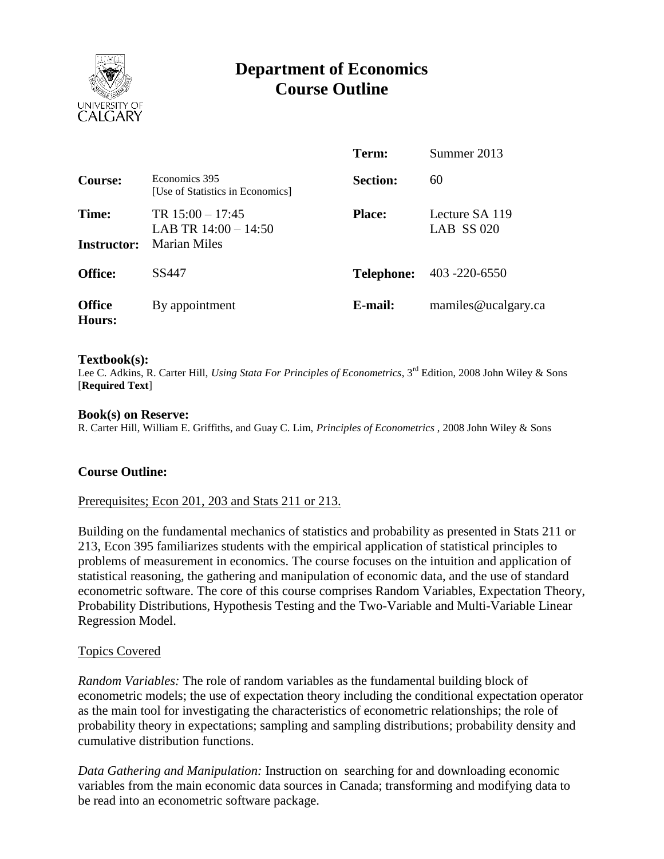

# **Department of Economics Course Outline**

|                                |                                                              | Term:           | Summer 2013                    |
|--------------------------------|--------------------------------------------------------------|-----------------|--------------------------------|
| Course:                        | Economics 395<br>[Use of Statistics in Economics]            | <b>Section:</b> | 60                             |
| Time:<br><b>Instructor:</b>    | TR $15:00 - 17:45$<br>LAB TR $14:00 - 14:50$<br>Marian Miles | <b>Place:</b>   | Lecture SA 119<br>LAB $SS 020$ |
| <b>Office:</b>                 | SS447                                                        | Telephone:      | 403 -220 -6550                 |
| <b>Office</b><br><b>Hours:</b> | By appointment                                               | E-mail:         | mamiles@ucalgary.ca            |

#### **Textbook(s):**

Lee C. Adkins, R. Carter Hill, *Using Stata For Principles of Econometrics*, 3<sup>rd</sup> Edition, 2008 John Wiley & Sons [**Required Text**]

#### **Book(s) on Reserve:**

R. Carter Hill, William E. Griffiths, and Guay C. Lim, *Principles of Econometrics* , 2008 John Wiley & Sons

## **Course Outline:**

#### Prerequisites; Econ 201, 203 and Stats 211 or 213.

Building on the fundamental mechanics of statistics and probability as presented in Stats 211 or 213, Econ 395 familiarizes students with the empirical application of statistical principles to problems of measurement in economics. The course focuses on the intuition and application of statistical reasoning, the gathering and manipulation of economic data, and the use of standard econometric software. The core of this course comprises Random Variables, Expectation Theory, Probability Distributions, Hypothesis Testing and the Two-Variable and Multi-Variable Linear Regression Model.

## Topics Covered

*Random Variables:* The role of random variables as the fundamental building block of econometric models; the use of expectation theory including the conditional expectation operator as the main tool for investigating the characteristics of econometric relationships; the role of probability theory in expectations; sampling and sampling distributions; probability density and cumulative distribution functions.

*Data Gathering and Manipulation:* Instruction on searching for and downloading economic variables from the main economic data sources in Canada; transforming and modifying data to be read into an econometric software package.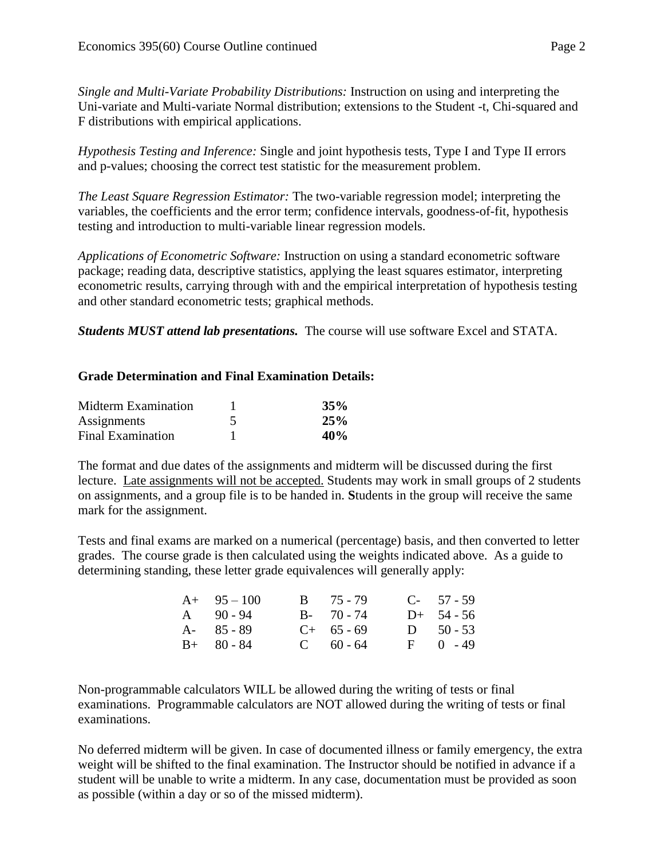*Single and Multi-Variate Probability Distributions:* Instruction on using and interpreting the Uni-variate and Multi-variate Normal distribution; extensions to the Student -t, Chi-squared and F distributions with empirical applications.

*Hypothesis Testing and Inference:* Single and joint hypothesis tests, Type I and Type II errors and p-values; choosing the correct test statistic for the measurement problem.

*The Least Square Regression Estimator:* The two-variable regression model; interpreting the variables, the coefficients and the error term; confidence intervals, goodness-of-fit, hypothesis testing and introduction to multi-variable linear regression models.

*Applications of Econometric Software:* Instruction on using a standard econometric software package; reading data, descriptive statistics, applying the least squares estimator, interpreting econometric results, carrying through with and the empirical interpretation of hypothesis testing and other standard econometric tests; graphical methods.

*Students MUST attend lab presentations.* The course will use software Excel and STATA.

# **Grade Determination and Final Examination Details:**

| Midterm Examination      | 35% |
|--------------------------|-----|
| Assignments              | 25% |
| <b>Final Examination</b> | 40% |

The format and due dates of the assignments and midterm will be discussed during the first lecture. Late assignments will not be accepted. Students may work in small groups of 2 students on assignments, and a group file is to be handed in. **S**tudents in the group will receive the same mark for the assignment.

Tests and final exams are marked on a numerical (percentage) basis, and then converted to letter grades. The course grade is then calculated using the weights indicated above. As a guide to determining standing, these letter grade equivalences will generally apply:

| $A+ 95-100$   | $B = 75 - 79$ | $C-57-59$     |
|---------------|---------------|---------------|
| $A = 90 - 94$ | $B - 70 - 74$ | $D+ 54-56$    |
| A- 85 - 89    | $C+ 65 - 69$  | $D = 50 - 53$ |
| $B+ 80 - 84$  | $C = 60 - 64$ | $F = 0 - 49$  |

Non-programmable calculators WILL be allowed during the writing of tests or final examinations. Programmable calculators are NOT allowed during the writing of tests or final examinations.

No deferred midterm will be given. In case of documented illness or family emergency, the extra weight will be shifted to the final examination. The Instructor should be notified in advance if a student will be unable to write a midterm. In any case, documentation must be provided as soon as possible (within a day or so of the missed midterm).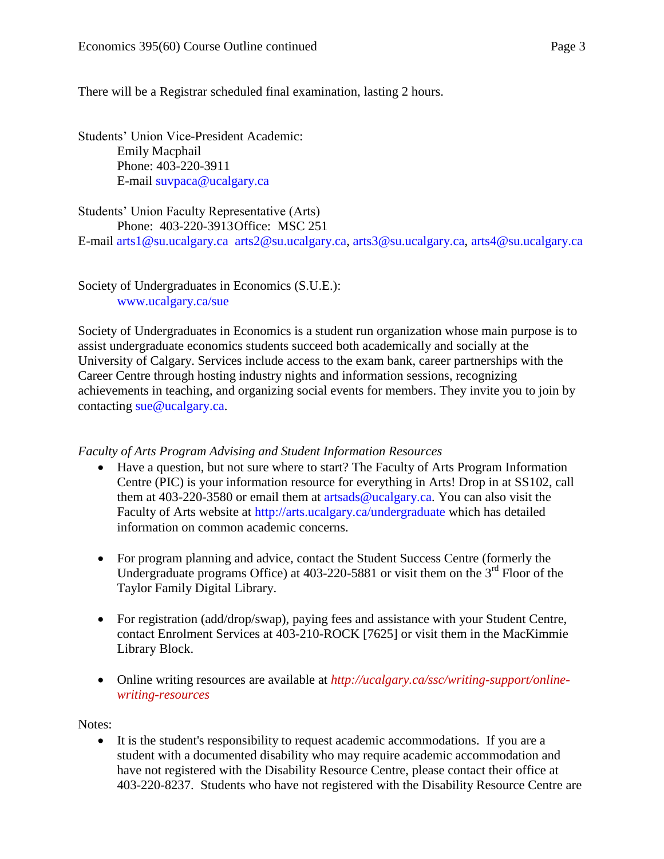There will be a Registrar scheduled final examination, lasting 2 hours.

Students' Union Vice-President Academic: Emily Macphail Phone: 403-220-3911 E-mail [suvpaca@ucalgary.ca](mailto:subpaca@ucalgary.ca)

Students' Union Faculty Representative (Arts) Phone: 403-220-3913Office: MSC 251

E-mail [arts1@su.ucalgary.ca](mailto:arts1@su.ucalgary.ca) [arts2@su.ucalgary.ca,](mailto:arts2@su.ucalgary.ca) [arts3@su.ucalgary.ca,](mailto:arts3@su.ucalgary.ca) [arts4@su.ucalgary.ca](mailto:arts4@su.ucalgary.ca)

Society of Undergraduates in Economics (S.U.E.): [www.ucalgary.ca/sue](http://www.fp.ucalgary.ca/econ)

Society of Undergraduates in Economics is a student run organization whose main purpose is to assist undergraduate economics students succeed both academically and socially at the University of Calgary. Services include access to the exam bank, career partnerships with the Career Centre through hosting industry nights and information sessions, recognizing achievements in teaching, and organizing social events for members. They invite you to join by contacting [sue@ucalgary.ca.](mailto:sue@ucalgary.ca)

## *Faculty of Arts Program Advising and Student Information Resources*

- Have a question, but not sure where to start? The Faculty of Arts Program Information Centre (PIC) is your information resource for everything in Arts! Drop in at SS102, call them at 403-220-3580 or email them at  $artsads@ucalgary.ca.$  You can also visit the Faculty of Arts website at<http://arts.ucalgary.ca/undergraduate> which has detailed information on common academic concerns.
- For program planning and advice, contact the Student Success Centre (formerly the Undergraduate programs Office) at  $403-220-5881$  or visit them on the  $3<sup>rd</sup>$  Floor of the Taylor Family Digital Library.
- For registration (add/drop/swap), paying fees and assistance with your Student Centre, contact Enrolment Services at 403-210-ROCK [7625] or visit them in the MacKimmie Library Block.
- Online writing resources are available at *http://ucalgary.ca/ssc/writing-support/onlinewriting-resources*

Notes:

 It is the student's responsibility to request academic accommodations. If you are a student with a documented disability who may require academic accommodation and have not registered with the Disability Resource Centre, please contact their office at 403-220-8237. Students who have not registered with the Disability Resource Centre are